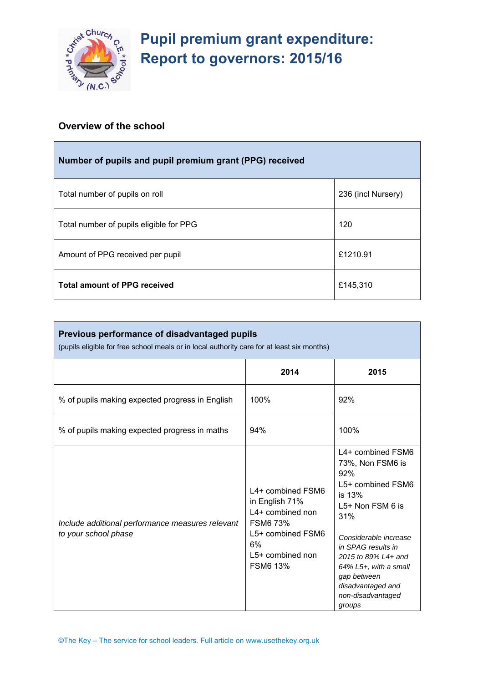

# **Pupil premium grant expenditure: Report to governors: 2015/16**

# **Overview of the school**

| Number of pupils and pupil premium grant (PPG) received |                    |  |  |
|---------------------------------------------------------|--------------------|--|--|
| Total number of pupils on roll                          | 236 (incl Nursery) |  |  |
| Total number of pupils eligible for PPG                 | 120                |  |  |
| Amount of PPG received per pupil                        | £1210.91           |  |  |
| <b>Total amount of PPG received</b>                     | £145,310           |  |  |

| Previous performance of disadvantaged pupils<br>(pupils eligible for free school meals or in local authority care for at least six months) |                                                                                                                                                |                                                                                                                                                                                                                                                                          |
|--------------------------------------------------------------------------------------------------------------------------------------------|------------------------------------------------------------------------------------------------------------------------------------------------|--------------------------------------------------------------------------------------------------------------------------------------------------------------------------------------------------------------------------------------------------------------------------|
|                                                                                                                                            | 2014                                                                                                                                           | 2015                                                                                                                                                                                                                                                                     |
| % of pupils making expected progress in English                                                                                            | 100%                                                                                                                                           | 92%                                                                                                                                                                                                                                                                      |
| % of pupils making expected progress in maths                                                                                              | 94%                                                                                                                                            | 100%                                                                                                                                                                                                                                                                     |
| Include additional performance measures relevant<br>to your school phase                                                                   | L4+ combined FSM6<br>in English 71%<br>L4+ combined non<br><b>FSM6 73%</b><br>L5+ combined FSM6<br>6%<br>$L5+$ combined non<br><b>FSM6 13%</b> | L4+ combined FSM6<br>73%, Non FSM6 is<br>92%<br>L5+ combined FSM6<br>is 13%<br>L5+ Non FSM 6 is<br>31%<br>Considerable increase<br>in SPAG results in<br>2015 to 89% L4+ and<br>64% L5+, with a small<br>gap between<br>disadvantaged and<br>non-disadvantaged<br>groups |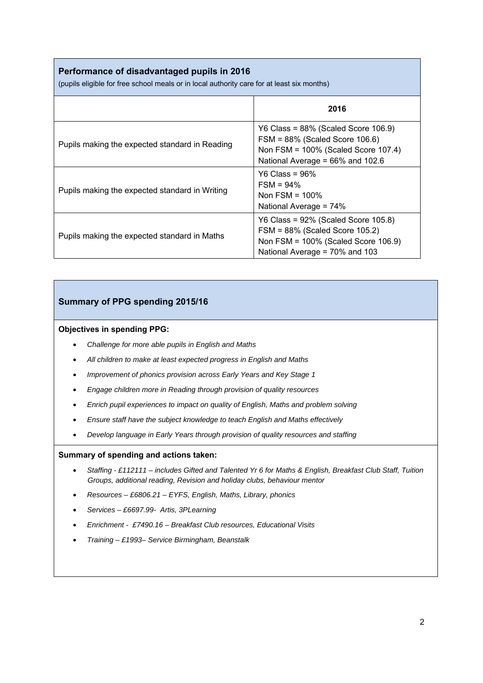# **Performance of disadvantaged pupils in 2016**

(pupils eligible for free school meals or in local authority care for at least six months)

|                                                | 2016                                                                                                                                                   |
|------------------------------------------------|--------------------------------------------------------------------------------------------------------------------------------------------------------|
| Pupils making the expected standard in Reading | Y6 Class = $88\%$ (Scaled Score 106.9)<br>$FSM = 88\%$ (Scaled Score 106.6)<br>Non FSM = 100% (Scaled Score 107.4)<br>National Average = 66% and 102.6 |
| Pupils making the expected standard in Writing | $Y6$ Class = 96%<br>$FSM = 94\%$<br>Non FSM = $100\%$<br>National Average = 74%                                                                        |
| Pupils making the expected standard in Maths   | $Y6 Class = 92\%$ (Scaled Score 105.8)<br>FSM = 88% (Scaled Score 105.2)<br>Non FSM = $100\%$ (Scaled Score 106.9)<br>National Average = 70% and 103   |

# **Summary of PPG spending 2015/16**

#### **Objectives in spending PPG:**

- *Challenge for more able pupils in English and Maths*
- *All children to make at least expected progress in English and Maths*
- *Improvement of phonics provision across Early Years and Key Stage 1*
- *Engage children more in Reading through provision of quality resources*
- *Enrich pupil experiences to impact on quality of English, Maths and problem solving*
- *Ensure staff have the subject knowledge to teach English and Maths effectively*
- *Develop language in Early Years through provision of quality resources and staffing*

#### **Summary of spending and actions taken:**

- *Staffing £112111 includes Gifted and Talented Yr 6 for Maths & English, Breakfast Club Staff, Tuition Groups, additional reading, Revision and holiday clubs, behaviour mentor*
- *Resources £6806.21 EYFS, English, Maths, Library, phonics*
- *Services £6697.99- Artis, 3PLearning*
- *Enrichment £7490.16 Breakfast Club resources, Educational Visits*
- *Training £1993– Service Birmingham, Beanstalk*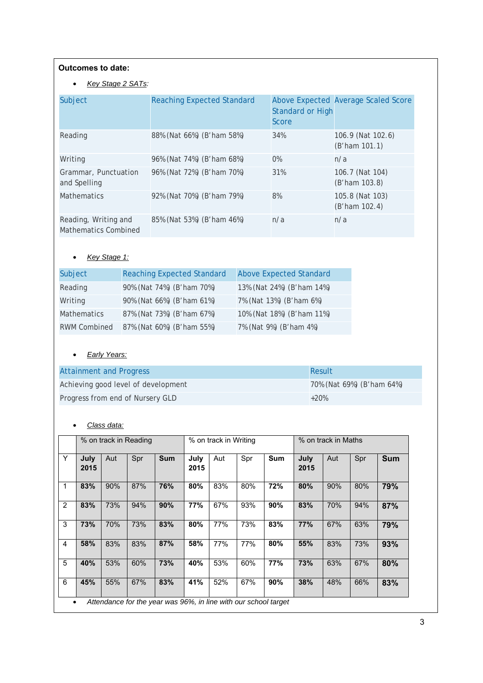#### **Outcomes to date:**

#### • *Key Stage 2 SATs:*

| Subject                                      | <b>Reaching Expected Standard</b> | <b>Standard or High</b><br>Score | Above Expected Average Scaled Score   |
|----------------------------------------------|-----------------------------------|----------------------------------|---------------------------------------|
| Reading                                      | 88% (Nat 66%) (B'ham 58%)         | 34%                              | 106.9 (Nat 102.6)<br>$(B'$ ham 101.1) |
| Writing                                      | 96% (Nat 74%) (B'ham 68%)         | $0\%$                            | n/a                                   |
| Grammar, Punctuation<br>and Spelling         | 96% (Nat 72%) (B'ham 70%)         | 31%                              | 106.7 (Nat 104)<br>(B'ham 103.8)      |
| <b>Mathematics</b>                           | 92% (Nat 70%) (B'ham 79%)         | 8%                               | 105.8 (Nat 103)<br>$(B'$ ham 102.4)   |
| Reading, Writing and<br>Mathematics Combined | 85% (Nat 53%) (B'ham 46%)         | n/a                              | n/a                                   |

# • *Key Stage 1:*

| Subject             | <b>Reaching Expected Standard</b> | Above Expected Standard   |
|---------------------|-----------------------------------|---------------------------|
| Reading             | 90% (Nat 74%) (B'ham 70%)         | 13% (Nat 24%) (B'ham 14%) |
| Writing             | 90% (Nat 66%) (B'ham 61%)         | 7% (Nat 13%) (B'ham 6%)   |
| <b>Mathematics</b>  | 87% (Nat 73%) (B'ham 67%)         | 10% (Nat 18%) (B'ham 11%) |
| <b>RWM Combined</b> | 87% (Nat 60%) (B'ham 55%)         | 7% (Nat 9%) (B'ham 4%)    |

# • *Early Years:*

| <b>Attainment and Progress</b>      | Result                    |
|-------------------------------------|---------------------------|
| Achieving good level of development | 70% (Nat 69%) (B'ham 64%) |
| Progress from end of Nursery GLD    | $+20%$                    |

# • *Class data:*

|                |                                                                      |     | % on track in Reading |            | % on track in Writing |     | % on track in Maths |            |              |     |     |            |
|----------------|----------------------------------------------------------------------|-----|-----------------------|------------|-----------------------|-----|---------------------|------------|--------------|-----|-----|------------|
| Y              | July<br>2015                                                         | Aut | Spr                   | <b>Sum</b> | July<br>2015          | Aut | Spr                 | <b>Sum</b> | July<br>2015 | Aut | Spr | <b>Sum</b> |
| $\mathbf 1$    | 83%                                                                  | 90% | 87%                   | 76%        | 80%                   | 83% | 80%                 | 72%        | 80%          | 90% | 80% | 79%        |
| 2              | 83%                                                                  | 73% | 94%                   | 90%        | 77%                   | 67% | 93%                 | 90%        | 83%          | 70% | 94% | 87%        |
| 3              | 73%                                                                  | 70% | 73%                   | 83%        | 80%                   | 77% | 73%                 | 83%        | 77%          | 67% | 63% | 79%        |
| $\overline{4}$ | 58%                                                                  | 83% | 83%                   | 87%        | 58%                   | 77% | 77%                 | 80%        | 55%          | 83% | 73% | 93%        |
| 5              | 40%                                                                  | 53% | 60%                   | 73%        | 40%                   | 53% | 60%                 | 77%        | 73%          | 63% | 67% | 80%        |
| 6              | 45%                                                                  | 55% | 67%                   | 83%        | 41%                   | 52% | 67%                 | 90%        | 38%          | 48% | 66% | 83%        |
|                | Attendance for the year was 96%, in line with our school target<br>٠ |     |                       |            |                       |     |                     |            |              |     |     |            |